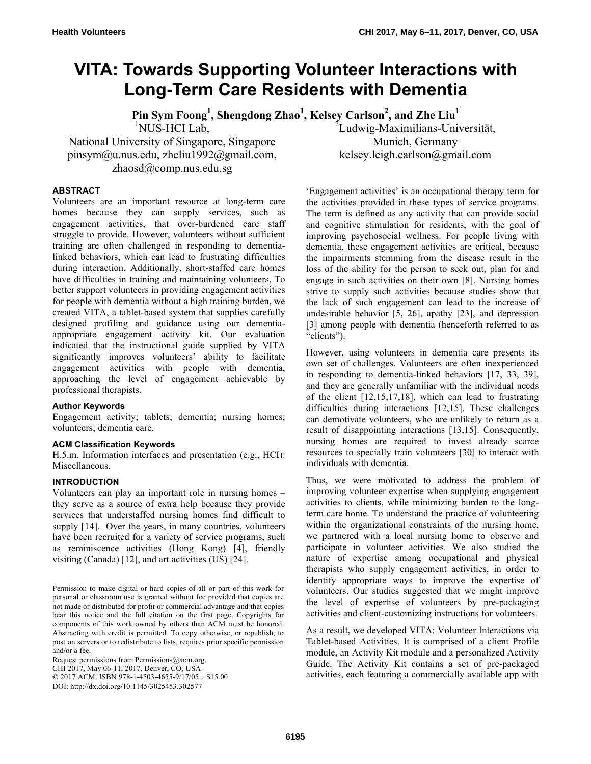# **VITA: Towards Supporting Volunteer Interactions with Long-Term Care Residents with Dementia**

**Pin Sym Foong1 , Shengdong Zhao1 , Kelsey Carlson<sup>2</sup> , and Zhe Liu<sup>1</sup>** <sup>2</sup>Ludwig-Maximilians-Universität,

1 NUS-HCI Lab,

National University of Singapore, Singapore pinsym@u.nus.edu, zheliu1992@gmail.com, zhaosd@comp.nus.edu.sg

> 'Engagement activities' is an occupational therapy term for the activities provided in these types of service programs. The term is defined as any activity that can provide social and cognitive stimulation for residents, with the goal of improving psychosocial wellness. For people living with dementia, these engagement activities are critical, because the impairments stemming from the disease result in the loss of the ability for the person to seek out, plan for and engage in such activities on their own [8]. Nursing homes strive to supply such activities because studies show that the lack of such engagement can lead to the increase of undesirable behavior [5, 26], apathy [23], and depression [3] among people with dementia (henceforth referred to as "clients").

Munich, Germany kelsey.leigh.carlson@gmail.com

However, using volunteers in dementia care presents its own set of challenges. Volunteers are often inexperienced in responding to dementia-linked behaviors [17, 33, 39], and they are generally unfamiliar with the individual needs of the client [12,15,17,18], which can lead to frustrating difficulties during interactions [12,15]. These challenges can demotivate volunteers, who are unlikely to return as a result of disappointing interactions [13,15]. Consequently, nursing homes are required to invest already scarce resources to specially train volunteers [30] to interact with individuals with dementia.

Thus, we were motivated to address the problem of improving volunteer expertise when supplying engagement activities to clients, while minimizing burden to the longterm care home. To understand the practice of volunteering within the organizational constraints of the nursing home, we partnered with a local nursing home to observe and participate in volunteer activities. We also studied the nature of expertise among occupational and physical therapists who supply engagement activities, in order to identify appropriate ways to improve the expertise of volunteers. Our studies suggested that we might improve the level of expertise of volunteers by pre-packaging activities and client-customizing instructions for volunteers.

As a result, we developed VITA: Volunteer Interactions via Tablet-based Activities. It is comprised of a client Profile module, an Activity Kit module and a personalized Activity Guide. The Activity Kit contains a set of pre-packaged activities, each featuring a commercially available app with

# **ABSTRACT**

Volunteers are an important resource at long-term care homes because they can supply services, such as engagement activities, that over-burdened care staff struggle to provide. However, volunteers without sufficient training are often challenged in responding to dementialinked behaviors, which can lead to frustrating difficulties during interaction. Additionally, short-staffed care homes have difficulties in training and maintaining volunteers. To better support volunteers in providing engagement activities for people with dementia without a high training burden, we created VITA, a tablet-based system that supplies carefully designed profiling and guidance using our dementiaappropriate engagement activity kit. Our evaluation indicated that the instructional guide supplied by VITA significantly improves volunteers' ability to facilitate engagement activities with people with dementia, approaching the level of engagement achievable by professional therapists.

#### **Author Keywords**

Engagement activity; tablets; dementia; nursing homes; volunteers; dementia care.

#### **ACM Classification Keywords**

H.5.m. Information interfaces and presentation (e.g., HCI): Miscellaneous.

# **INTRODUCTION**

Volunteers can play an important role in nursing homes – they serve as a source of extra help because they provide services that understaffed nursing homes find difficult to supply [14]. Over the years, in many countries, volunteers have been recruited for a variety of service programs, such as reminiscence activities (Hong Kong) [4], friendly visiting (Canada) [12], and art activities (US) [24].

Permission to make digital or hard copies of all or part of this work for personal or classroom use is granted without fee provided that copies are not made or distributed for profit or commercial advantage and that copies bear this notice and the full citation on the first page. Copyrights for components of this work owned by others than ACM must be honored. Abstracting with credit is permitted. To copy otherwise, or republish, to post on servers or to redistribute to lists, requires prior specific permission and/or a fee.

Request permissions from Permissions@acm.org. CHI 2017, May 06-11, 2017, Denver, CO, USA © 2017 ACM. ISBN 978-1-4503-4655-9/17/05…\$15.00 DOI: http://dx.doi.org/10.1145/3025453.302577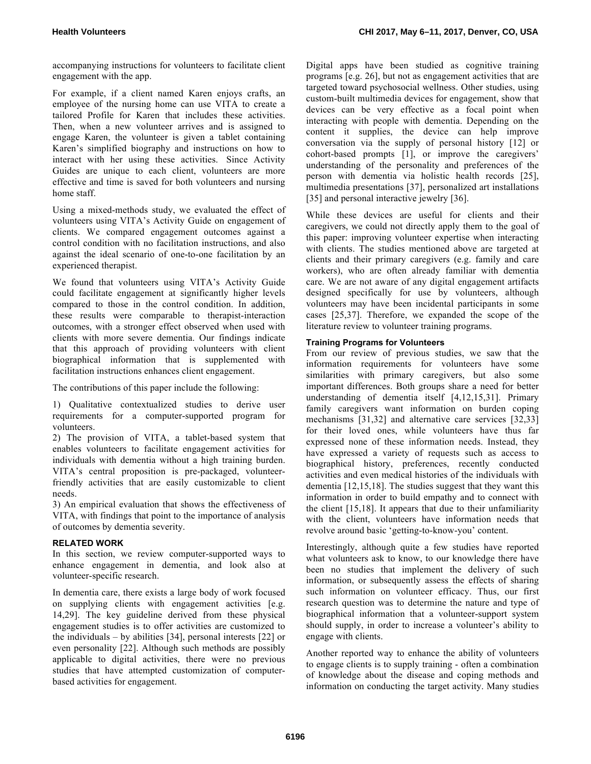accompanying instructions for volunteers to facilitate client engagement with the app.

For example, if a client named Karen enjoys crafts, an employee of the nursing home can use VITA to create a tailored Profile for Karen that includes these activities. Then, when a new volunteer arrives and is assigned to engage Karen, the volunteer is given a tablet containing Karen's simplified biography and instructions on how to interact with her using these activities. Since Activity Guides are unique to each client, volunteers are more effective and time is saved for both volunteers and nursing home staff.

Using a mixed-methods study, we evaluated the effect of volunteers using VITA's Activity Guide on engagement of clients. We compared engagement outcomes against a control condition with no facilitation instructions, and also against the ideal scenario of one-to-one facilitation by an experienced therapist.

We found that volunteers using VITA's Activity Guide could facilitate engagement at significantly higher levels compared to those in the control condition. In addition, these results were comparable to therapist-interaction outcomes, with a stronger effect observed when used with clients with more severe dementia. Our findings indicate that this approach of providing volunteers with client biographical information that is supplemented with facilitation instructions enhances client engagement.

The contributions of this paper include the following:

1) Qualitative contextualized studies to derive user requirements for a computer-supported program for volunteers.

2) The provision of VITA, a tablet-based system that enables volunteers to facilitate engagement activities for individuals with dementia without a high training burden. VITA's central proposition is pre-packaged, volunteerfriendly activities that are easily customizable to client needs.

3) An empirical evaluation that shows the effectiveness of VITA, with findings that point to the importance of analysis of outcomes by dementia severity.

# **RELATED WORK**

In this section, we review computer-supported ways to enhance engagement in dementia, and look also at volunteer-specific research.

In dementia care, there exists a large body of work focused on supplying clients with engagement activities [e.g. 14,29]. The key guideline derived from these physical engagement studies is to offer activities are customized to the individuals – by abilities [34], personal interests [22] or even personality [22]. Although such methods are possibly applicable to digital activities, there were no previous studies that have attempted customization of computerbased activities for engagement.

Digital apps have been studied as cognitive training programs [e.g. 26], but not as engagement activities that are targeted toward psychosocial wellness. Other studies, using custom-built multimedia devices for engagement, show that devices can be very effective as a focal point when interacting with people with dementia. Depending on the content it supplies, the device can help improve conversation via the supply of personal history [12] or cohort-based prompts [1], or improve the caregivers' understanding of the personality and preferences of the person with dementia via holistic health records [25], multimedia presentations [37], personalized art installations [35] and personal interactive jewelry [36].

While these devices are useful for clients and their caregivers, we could not directly apply them to the goal of this paper: improving volunteer expertise when interacting with clients. The studies mentioned above are targeted at clients and their primary caregivers (e.g. family and care workers), who are often already familiar with dementia care. We are not aware of any digital engagement artifacts designed specifically for use by volunteers, although volunteers may have been incidental participants in some cases [25,37]. Therefore, we expanded the scope of the literature review to volunteer training programs.

# **Training Programs for Volunteers**

From our review of previous studies, we saw that the information requirements for volunteers have some similarities with primary caregivers, but also some important differences. Both groups share a need for better understanding of dementia itself [4,12,15,31]. Primary family caregivers want information on burden coping mechanisms [31,32] and alternative care services [32,33] for their loved ones, while volunteers have thus far expressed none of these information needs. Instead, they have expressed a variety of requests such as access to biographical history, preferences, recently conducted activities and even medical histories of the individuals with dementia [12,15,18]. The studies suggest that they want this information in order to build empathy and to connect with the client [15,18]. It appears that due to their unfamiliarity with the client, volunteers have information needs that revolve around basic 'getting-to-know-you' content.

Interestingly, although quite a few studies have reported what volunteers ask to know, to our knowledge there have been no studies that implement the delivery of such information, or subsequently assess the effects of sharing such information on volunteer efficacy. Thus, our first research question was to determine the nature and type of biographical information that a volunteer-support system should supply, in order to increase a volunteer's ability to engage with clients.

Another reported way to enhance the ability of volunteers to engage clients is to supply training - often a combination of knowledge about the disease and coping methods and information on conducting the target activity. Many studies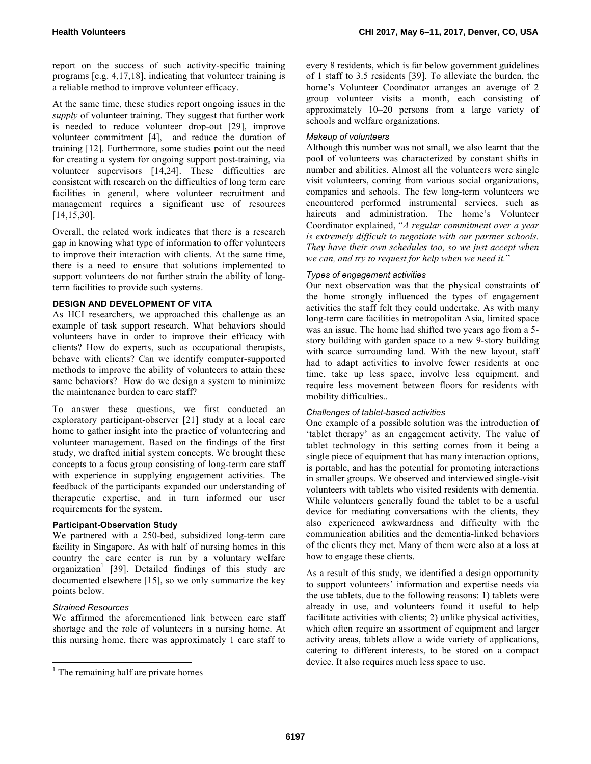report on the success of such activity-specific training programs [e.g. 4,17,18], indicating that volunteer training is a reliable method to improve volunteer efficacy.

At the same time, these studies report ongoing issues in the *supply* of volunteer training. They suggest that further work is needed to reduce volunteer drop-out [29], improve volunteer commitment [4], and reduce the duration of training [12]. Furthermore, some studies point out the need for creating a system for ongoing support post-training, via volunteer supervisors [14,24]. These difficulties are consistent with research on the difficulties of long term care facilities in general, where volunteer recruitment and management requires a significant use of resources [14,15,30].

Overall, the related work indicates that there is a research gap in knowing what type of information to offer volunteers to improve their interaction with clients. At the same time, there is a need to ensure that solutions implemented to support volunteers do not further strain the ability of longterm facilities to provide such systems.

# **DESIGN AND DEVELOPMENT OF VITA**

As HCI researchers, we approached this challenge as an example of task support research. What behaviors should volunteers have in order to improve their efficacy with clients? How do experts, such as occupational therapists, behave with clients? Can we identify computer-supported methods to improve the ability of volunteers to attain these same behaviors? How do we design a system to minimize the maintenance burden to care staff?

To answer these questions, we first conducted an exploratory participant-observer [21] study at a local care home to gather insight into the practice of volunteering and volunteer management. Based on the findings of the first study, we drafted initial system concepts. We brought these concepts to a focus group consisting of long-term care staff with experience in supplying engagement activities. The feedback of the participants expanded our understanding of therapeutic expertise, and in turn informed our user requirements for the system.

## **Participant-Observation Study**

We partnered with a 250-bed, subsidized long-term care facility in Singapore. As with half of nursing homes in this country the care center is run by a voluntary welfare organization<sup>1</sup> [39]. Detailed findings of this study are documented elsewhere [15], so we only summarize the key points below.

#### *Strained Resources*

We affirmed the aforementioned link between care staff shortage and the role of volunteers in a nursing home. At this nursing home, there was approximately 1 care staff to every 8 residents, which is far below government guidelines of 1 staff to 3.5 residents [39]. To alleviate the burden, the home's Volunteer Coordinator arranges an average of 2 group volunteer visits a month, each consisting of approximately 10–20 persons from a large variety of schools and welfare organizations.

#### *Makeup of volunteers*

Although this number was not small, we also learnt that the pool of volunteers was characterized by constant shifts in number and abilities. Almost all the volunteers were single visit volunteers, coming from various social organizations, companies and schools. The few long-term volunteers we encountered performed instrumental services, such as haircuts and administration. The home's Volunteer Coordinator explained, "*A regular commitment over a year is extremely difficult to negotiate with our partner schools. They have their own schedules too, so we just accept when we can, and try to request for help when we need it.*"

# *Types of engagement activities*

Our next observation was that the physical constraints of the home strongly influenced the types of engagement activities the staff felt they could undertake. As with many long-term care facilities in metropolitan Asia, limited space was an issue. The home had shifted two years ago from a 5 story building with garden space to a new 9-story building with scarce surrounding land. With the new layout, staff had to adapt activities to involve fewer residents at one time, take up less space, involve less equipment, and require less movement between floors for residents with mobility difficulties..

# *Challenges of tablet-based activities*

One example of a possible solution was the introduction of 'tablet therapy' as an engagement activity. The value of tablet technology in this setting comes from it being a single piece of equipment that has many interaction options, is portable, and has the potential for promoting interactions in smaller groups. We observed and interviewed single-visit volunteers with tablets who visited residents with dementia. While volunteers generally found the tablet to be a useful device for mediating conversations with the clients, they also experienced awkwardness and difficulty with the communication abilities and the dementia-linked behaviors of the clients they met. Many of them were also at a loss at how to engage these clients.

As a result of this study, we identified a design opportunity to support volunteers' information and expertise needs via the use tablets, due to the following reasons: 1) tablets were already in use, and volunteers found it useful to help facilitate activities with clients; 2) unlike physical activities, which often require an assortment of equipment and larger activity areas, tablets allow a wide variety of applications, catering to different interests, to be stored on a compact device. It also requires much less space to use.

 $<sup>1</sup>$  The remaining half are private homes</sup>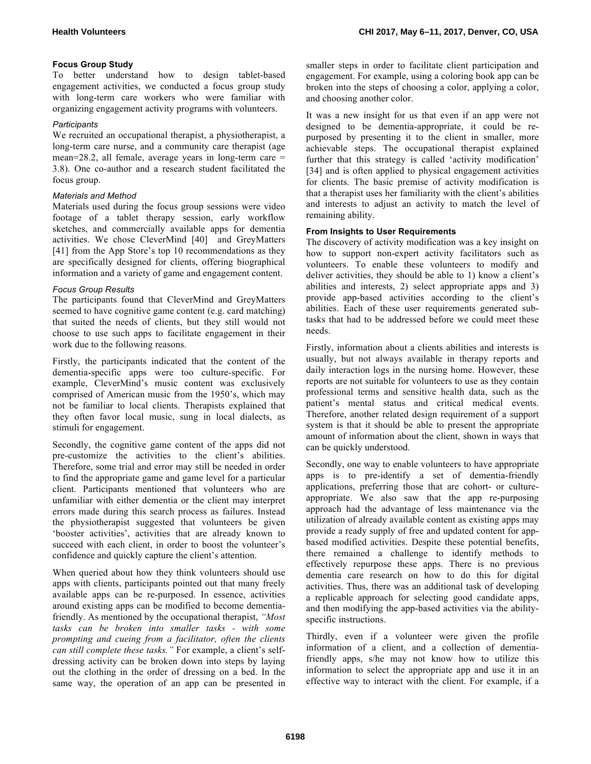# **Focus Group Study**

To better understand how to design tablet-based engagement activities, we conducted a focus group study with long-term care workers who were familiar with organizing engagement activity programs with volunteers.

## *Participants*

We recruited an occupational therapist, a physiotherapist, a long-term care nurse, and a community care therapist (age mean=28.2, all female, average years in long-term care = 3.8). One co-author and a research student facilitated the focus group.

# *Materials and Method*

Materials used during the focus group sessions were video footage of a tablet therapy session, early workflow sketches, and commercially available apps for dementia activities. We chose CleverMind [40] and GreyMatters [41] from the App Store's top 10 recommendations as they are specifically designed for clients, offering biographical information and a variety of game and engagement content.

# *Focus Group Results*

The participants found that CleverMind and GreyMatters seemed to have cognitive game content (e.g. card matching) that suited the needs of clients, but they still would not choose to use such apps to facilitate engagement in their work due to the following reasons.

Firstly, the participants indicated that the content of the dementia-specific apps were too culture-specific. For example, CleverMind's music content was exclusively comprised of American music from the 1950's, which may not be familiar to local clients. Therapists explained that they often favor local music, sung in local dialects, as stimuli for engagement.

Secondly, the cognitive game content of the apps did not pre-customize the activities to the client's abilities. Therefore, some trial and error may still be needed in order to find the appropriate game and game level for a particular client. Participants mentioned that volunteers who are unfamiliar with either dementia or the client may interpret errors made during this search process as failures. Instead the physiotherapist suggested that volunteers be given 'booster activities', activities that are already known to succeed with each client, in order to boost the volunteer's confidence and quickly capture the client's attention.

When queried about how they think volunteers should use apps with clients, participants pointed out that many freely available apps can be re-purposed. In essence, activities around existing apps can be modified to become dementiafriendly. As mentioned by the occupational therapist, *"Most tasks can be broken into smaller tasks - with some prompting and cueing from a facilitator, often the clients can still complete these tasks."* For example, a client's selfdressing activity can be broken down into steps by laying out the clothing in the order of dressing on a bed. In the same way, the operation of an app can be presented in smaller steps in order to facilitate client participation and engagement. For example, using a coloring book app can be broken into the steps of choosing a color, applying a color, and choosing another color.

It was a new insight for us that even if an app were not designed to be dementia-appropriate, it could be repurposed by presenting it to the client in smaller, more achievable steps. The occupational therapist explained further that this strategy is called 'activity modification' [34] and is often applied to physical engagement activities for clients. The basic premise of activity modification is that a therapist uses her familiarity with the client's abilities and interests to adjust an activity to match the level of remaining ability.

# **From Insights to User Requirements**

The discovery of activity modification was a key insight on how to support non-expert activity facilitators such as volunteers. To enable these volunteers to modify and deliver activities, they should be able to 1) know a client's abilities and interests, 2) select appropriate apps and 3) provide app-based activities according to the client's abilities. Each of these user requirements generated subtasks that had to be addressed before we could meet these needs.

Firstly, information about a clients abilities and interests is usually, but not always available in therapy reports and daily interaction logs in the nursing home. However, these reports are not suitable for volunteers to use as they contain professional terms and sensitive health data, such as the patient's mental status and critical medical events. Therefore, another related design requirement of a support system is that it should be able to present the appropriate amount of information about the client, shown in ways that can be quickly understood.

Secondly, one way to enable volunteers to have appropriate apps is to pre-identify a set of dementia-friendly applications, preferring those that are cohort- or cultureappropriate. We also saw that the app re-purposing approach had the advantage of less maintenance via the utilization of already available content as existing apps may provide a ready supply of free and updated content for appbased modified activities. Despite these potential benefits, there remained a challenge to identify methods to effectively repurpose these apps. There is no previous dementia care research on how to do this for digital activities. Thus, there was an additional task of developing a replicable approach for selecting good candidate apps, and then modifying the app-based activities via the abilityspecific instructions.

Thirdly, even if a volunteer were given the profile information of a client, and a collection of dementiafriendly apps, s/he may not know how to utilize this information to select the appropriate app and use it in an effective way to interact with the client. For example, if a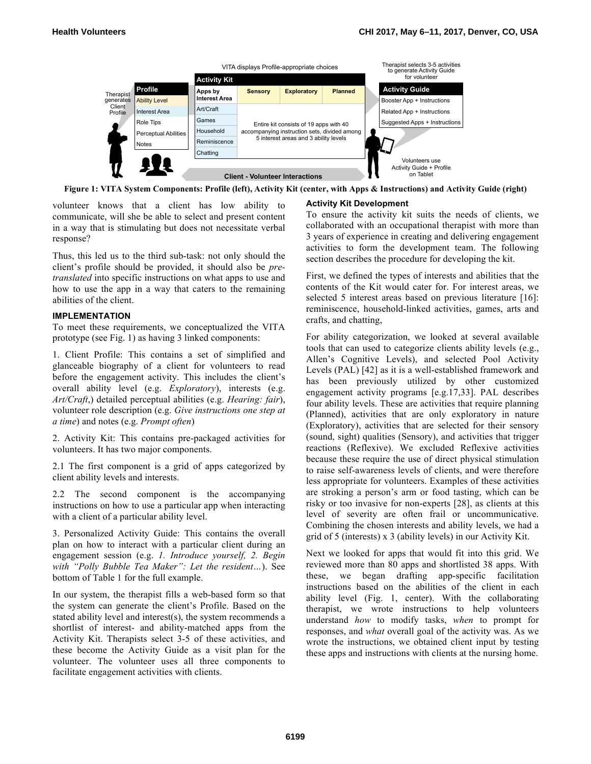

**Figure 1: VITA System Components: Profile (left), Activity Kit (center, with Apps & Instructions) and Activity Guide (right)** 

volunteer knows that a client has low ability to communicate, will she be able to select and present content in a way that is stimulating but does not necessitate verbal response?

Thus, this led us to the third sub-task: not only should the client's profile should be provided, it should also be *pretranslated* into specific instructions on what apps to use and how to use the app in a way that caters to the remaining abilities of the client.

#### **IMPLEMENTATION**

To meet these requirements, we conceptualized the VITA prototype (see Fig. 1) as having 3 linked components:

1. Client Profile: This contains a set of simplified and glanceable biography of a client for volunteers to read before the engagement activity. This includes the client's overall ability level (e.g. *Exploratory*), interests (e.g. *Art/Craft*,) detailed perceptual abilities (e.g. *Hearing: fair*), volunteer role description (e.g. *Give instructions one step at a time*) and notes (e.g. *Prompt often*)

2. Activity Kit: This contains pre-packaged activities for volunteers. It has two major components.

2.1 The first component is a grid of apps categorized by client ability levels and interests.

2.2 The second component is the accompanying instructions on how to use a particular app when interacting with a client of a particular ability level.

3. Personalized Activity Guide: This contains the overall plan on how to interact with a particular client during an engagement session (e.g. *1. Introduce yourself, 2. Begin with "Polly Bubble Tea Maker": Let the resident…*). See bottom of Table 1 for the full example.

In our system, the therapist fills a web-based form so that the system can generate the client's Profile. Based on the stated ability level and interest(s), the system recommends a shortlist of interest- and ability-matched apps from the Activity Kit. Therapists select 3-5 of these activities, and these become the Activity Guide as a visit plan for the volunteer. The volunteer uses all three components to facilitate engagement activities with clients.

#### **Activity Kit Development**

To ensure the activity kit suits the needs of clients, we collaborated with an occupational therapist with more than 3 years of experience in creating and delivering engagement activities to form the development team. The following section describes the procedure for developing the kit.

First, we defined the types of interests and abilities that the contents of the Kit would cater for. For interest areas, we selected 5 interest areas based on previous literature [16]: reminiscence, household-linked activities, games, arts and crafts, and chatting,

For ability categorization, we looked at several available tools that can used to categorize clients ability levels (e.g., Allen's Cognitive Levels), and selected Pool Activity Levels (PAL) [42] as it is a well-established framework and has been previously utilized by other customized engagement activity programs [e.g.17,33]. PAL describes four ability levels. These are activities that require planning (Planned), activities that are only exploratory in nature (Exploratory), activities that are selected for their sensory (sound, sight) qualities (Sensory), and activities that trigger reactions (Reflexive). We excluded Reflexive activities because these require the use of direct physical stimulation to raise self-awareness levels of clients, and were therefore less appropriate for volunteers. Examples of these activities are stroking a person's arm or food tasting, which can be risky or too invasive for non-experts [28], as clients at this level of severity are often frail or uncommunicative. Combining the chosen interests and ability levels, we had a grid of 5 (interests) x 3 (ability levels) in our Activity Kit.

Next we looked for apps that would fit into this grid. We reviewed more than 80 apps and shortlisted 38 apps. With these, we began drafting app-specific facilitation instructions based on the abilities of the client in each ability level (Fig. 1, center). With the collaborating therapist, we wrote instructions to help volunteers understand *how* to modify tasks, *when* to prompt for responses, and *what* overall goal of the activity was. As we wrote the instructions, we obtained client input by testing these apps and instructions with clients at the nursing home.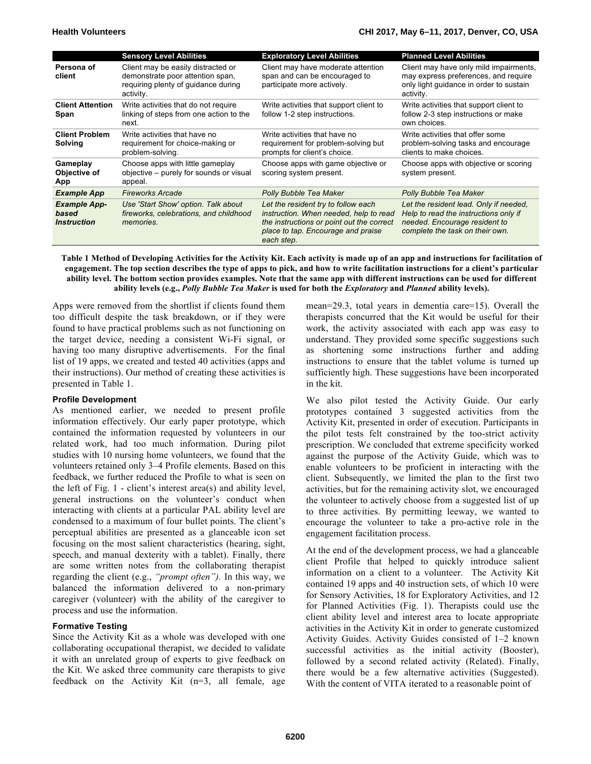|                                                                  | <b>Sensory Level Abilities</b>                                                                                             | <b>Exploratory Level Abilities</b>                                                                                                                                             | <b>Planned Level Abilities</b>                                                                                                                      |
|------------------------------------------------------------------|----------------------------------------------------------------------------------------------------------------------------|--------------------------------------------------------------------------------------------------------------------------------------------------------------------------------|-----------------------------------------------------------------------------------------------------------------------------------------------------|
| Persona of<br>client                                             | Client may be easily distracted or<br>demonstrate poor attention span,<br>requiring plenty of guidance during<br>activity. | Client may have moderate attention<br>span and can be encouraged to<br>participate more actively.                                                                              | Client may have only mild impairments,<br>may express preferences, and require<br>only light guidance in order to sustain<br>activity.              |
| <b>Client Attention</b><br>Span                                  | Write activities that do not require<br>linking of steps from one action to the<br>next.                                   | Write activities that support client to<br>follow 1-2 step instructions.                                                                                                       | Write activities that support client to<br>follow 2-3 step instructions or make<br>own choices.                                                     |
| <b>Client Problem</b><br>Solving                                 | Write activities that have no<br>requirement for choice-making or<br>problem-solving.                                      | Write activities that have no<br>requirement for problem-solving but<br>prompts for client's choice.                                                                           | Write activities that offer some<br>problem-solving tasks and encourage<br>clients to make choices.                                                 |
| Gameplay<br>Objective of<br>App                                  | Choose apps with little gameplay<br>objective – purely for sounds or visual<br>appeal.                                     | Choose apps with game objective or<br>scoring system present.                                                                                                                  | Choose apps with objective or scoring<br>system present.                                                                                            |
| <b>Example App</b>                                               | <b>Fireworks Arcade</b>                                                                                                    | Polly Bubble Tea Maker                                                                                                                                                         | Polly Bubble Tea Maker                                                                                                                              |
| <b>Example App-</b><br>based<br><i><u><b>Instruction</b></u></i> | Use 'Start Show' option. Talk about<br>fireworks, celebrations, and childhood<br>memories                                  | Let the resident try to follow each<br>instruction. When needed, help to read<br>the instructions or point out the correct<br>place to tap. Encourage and praise<br>each step. | Let the resident lead. Only if needed,<br>Help to read the instructions only if<br>needed. Encourage resident to<br>complete the task on their own. |

**Table 1 Method of Developing Activities for the Activity Kit. Each activity is made up of an app and instructions for facilitation of engagement. The top section describes the type of apps to pick, and how to write facilitation instructions for a client's particular ability level. The bottom section provides examples. Note that the same app with different instructions can be used for different ability levels (e.g.,** *Polly Bubble Tea Maker* **is used for both the** *Exploratory* **and** *Planned* **ability levels).**

Apps were removed from the shortlist if clients found them too difficult despite the task breakdown, or if they were found to have practical problems such as not functioning on the target device, needing a consistent Wi-Fi signal, or having too many disruptive advertisements. For the final list of 19 apps, we created and tested 40 activities (apps and their instructions). Our method of creating these activities is presented in Table 1.

#### **Profile Development**

As mentioned earlier, we needed to present profile information effectively. Our early paper prototype, which contained the information requested by volunteers in our related work, had too much information. During pilot studies with 10 nursing home volunteers, we found that the volunteers retained only 3–4 Profile elements. Based on this feedback, we further reduced the Profile to what is seen on the left of Fig. 1 - client's interest area(s) and ability level, general instructions on the volunteer's conduct when interacting with clients at a particular PAL ability level are condensed to a maximum of four bullet points. The client's perceptual abilities are presented as a glanceable icon set focusing on the most salient characteristics (hearing, sight, speech, and manual dexterity with a tablet). Finally, there are some written notes from the collaborating therapist regarding the client (e.g., *"prompt often").* In this way, we balanced the information delivered to a non-primary caregiver (volunteer) with the ability of the caregiver to process and use the information.

#### **Formative Testing**

Since the Activity Kit as a whole was developed with one collaborating occupational therapist, we decided to validate it with an unrelated group of experts to give feedback on the Kit. We asked three community care therapists to give feedback on the Activity Kit (n=3, all female, age

mean=29.3, total years in dementia care=15). Overall the therapists concurred that the Kit would be useful for their work, the activity associated with each app was easy to understand. They provided some specific suggestions such as shortening some instructions further and adding instructions to ensure that the tablet volume is turned up sufficiently high. These suggestions have been incorporated in the kit.

We also pilot tested the Activity Guide. Our early prototypes contained 3 suggested activities from the Activity Kit, presented in order of execution. Participants in the pilot tests felt constrained by the too-strict activity prescription. We concluded that extreme specificity worked against the purpose of the Activity Guide, which was to enable volunteers to be proficient in interacting with the client. Subsequently, we limited the plan to the first two activities, but for the remaining activity slot, we encouraged the volunteer to actively choose from a suggested list of up to three activities. By permitting leeway, we wanted to encourage the volunteer to take a pro-active role in the engagement facilitation process.

At the end of the development process, we had a glanceable client Profile that helped to quickly introduce salient information on a client to a volunteer. The Activity Kit contained 19 apps and 40 instruction sets, of which 10 were for Sensory Activities, 18 for Exploratory Activities, and 12 for Planned Activities (Fig. 1). Therapists could use the client ability level and interest area to locate appropriate activities in the Activity Kit in order to generate customized Activity Guides. Activity Guides consisted of 1–2 known successful activities as the initial activity (Booster), followed by a second related activity (Related). Finally, there would be a few alternative activities (Suggested). With the content of VITA iterated to a reasonable point of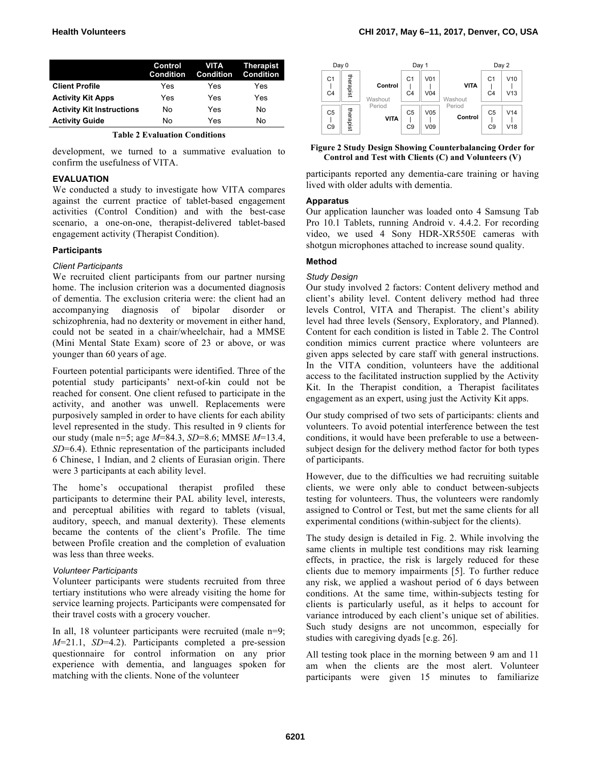|                                  | Control<br>Condition | <b>VITA</b><br><b>Condition</b> | Therapist<br><b>Condition</b> |
|----------------------------------|----------------------|---------------------------------|-------------------------------|
| <b>Client Profile</b>            | Yes                  | Yes                             | Yes                           |
| <b>Activity Kit Apps</b>         | Yes                  | Yes                             | Yes                           |
| <b>Activity Kit Instructions</b> | N٥                   | Yes                             | No                            |
| <b>Activity Guide</b>            | No                   | Yes                             | No                            |

**Table 2 Evaluation Conditions**

development, we turned to a summative evaluation to confirm the usefulness of VITA.

## **EVALUATION**

We conducted a study to investigate how VITA compares against the current practice of tablet-based engagement activities (Control Condition) and with the best-case scenario, a one-on-one, therapist-delivered tablet-based engagement activity (Therapist Condition).

# **Participants**

# *Client Participants*

We recruited client participants from our partner nursing home. The inclusion criterion was a documented diagnosis of dementia. The exclusion criteria were: the client had an accompanying diagnosis of bipolar disorder or schizophrenia, had no dexterity or movement in either hand, could not be seated in a chair/wheelchair, had a MMSE (Mini Mental State Exam) score of 23 or above, or was younger than 60 years of age.

Fourteen potential participants were identified. Three of the potential study participants' next-of-kin could not be reached for consent. One client refused to participate in the activity, and another was unwell. Replacements were purposively sampled in order to have clients for each ability level represented in the study. This resulted in 9 clients for our study (male n=5; age *M*=84.3, *SD*=8.6; MMSE *M*=13.4, *SD*=6.4). Ethnic representation of the participants included 6 Chinese, 1 Indian, and 2 clients of Eurasian origin. There were 3 participants at each ability level.

The home's occupational therapist profiled these participants to determine their PAL ability level, interests, and perceptual abilities with regard to tablets (visual, auditory, speech, and manual dexterity). These elements became the contents of the client's Profile. The time between Profile creation and the completion of evaluation was less than three weeks.

#### *Volunteer Participants*

Volunteer participants were students recruited from three tertiary institutions who were already visiting the home for service learning projects. Participants were compensated for their travel costs with a grocery voucher.

In all, 18 volunteer participants were recruited (male n=9; *M*=21.1, *SD*=4.2). Participants completed a pre-session questionnaire for control information on any prior experience with dementia, and languages spoken for matching with the clients. None of the volunteer



**Figure 2 Study Design Showing Counterbalancing Order for Control and Test with Clients (C) and Volunteers (V)**

participants reported any dementia-care training or having lived with older adults with dementia.

# **Apparatus**

Our application launcher was loaded onto 4 Samsung Tab Pro 10.1 Tablets, running Android v. 4.4.2. For recording video, we used 4 Sony HDR-XR550E cameras with shotgun microphones attached to increase sound quality.

# **Method**

# *Study Design*

Our study involved 2 factors: Content delivery method and client's ability level. Content delivery method had three levels Control, VITA and Therapist. The client's ability level had three levels (Sensory, Exploratory, and Planned). Content for each condition is listed in Table 2. The Control condition mimics current practice where volunteers are given apps selected by care staff with general instructions. In the VITA condition, volunteers have the additional access to the facilitated instruction supplied by the Activity Kit. In the Therapist condition, a Therapist facilitates engagement as an expert, using just the Activity Kit apps.

Our study comprised of two sets of participants: clients and volunteers. To avoid potential interference between the test conditions, it would have been preferable to use a betweensubject design for the delivery method factor for both types of participants.

However, due to the difficulties we had recruiting suitable clients, we were only able to conduct between-subjects testing for volunteers. Thus, the volunteers were randomly assigned to Control or Test, but met the same clients for all experimental conditions (within-subject for the clients).

The study design is detailed in Fig. 2. While involving the same clients in multiple test conditions may risk learning effects, in practice, the risk is largely reduced for these clients due to memory impairments [5]. To further reduce any risk, we applied a washout period of 6 days between conditions. At the same time, within-subjects testing for clients is particularly useful, as it helps to account for variance introduced by each client's unique set of abilities. Such study designs are not uncommon, especially for studies with caregiving dyads [e.g. 26].

All testing took place in the morning between 9 am and 11 am when the clients are the most alert. Volunteer participants were given 15 minutes to familiarize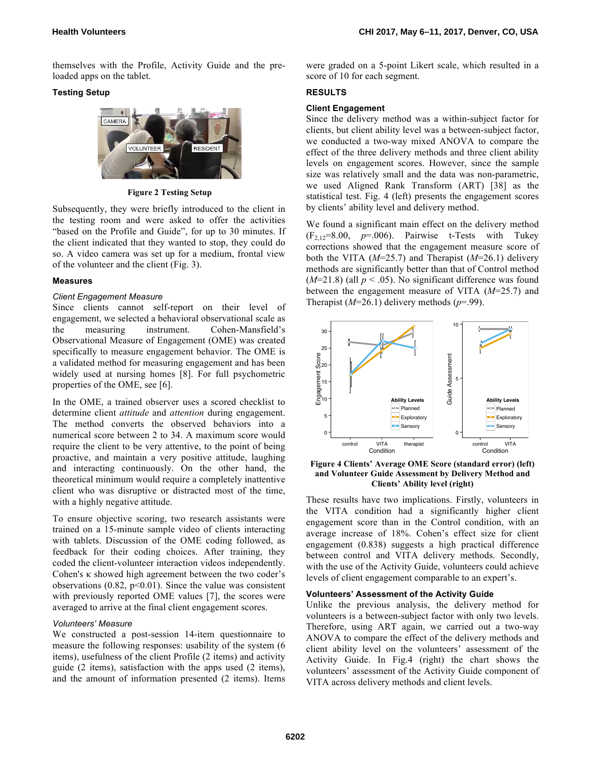themselves with the Profile, Activity Guide and the preloaded apps on the tablet.

# **Testing Setup**



**Figure 2 Testing Setup**

Subsequently, they were briefly introduced to the client in the testing room and were asked to offer the activities "based on the Profile and Guide", for up to 30 minutes. If the client indicated that they wanted to stop, they could do so. A video camera was set up for a medium, frontal view of the volunteer and the client (Fig. 3).

# **Measures**

# *Client Engagement Measure*

Since clients cannot self-report on their level of engagement, we selected a behavioral observational scale as the measuring instrument. Cohen-Mansfield's Observational Measure of Engagement (OME) was created specifically to measure engagement behavior. The OME is a validated method for measuring engagement and has been widely used at nursing homes [8]. For full psychometric properties of the OME, see [6].

In the OME, a trained observer uses a scored checklist to determine client *attitude* and *attention* during engagement. The method converts the observed behaviors into a numerical score between 2 to 34. A maximum score would require the client to be very attentive, to the point of being proactive, and maintain a very positive attitude, laughing and interacting continuously. On the other hand, the theoretical minimum would require a completely inattentive client who was disruptive or distracted most of the time, with a highly negative attitude.

To ensure objective scoring, two research assistants were trained on a 15-minute sample video of clients interacting with tablets. Discussion of the OME coding followed, as feedback for their coding choices. After training, they coded the client-volunteer interaction videos independently. Cohen's κ showed high agreement between the two coder's observations  $(0.82, p<0.01)$ . Since the value was consistent with previously reported OME values [7], the scores were averaged to arrive at the final client engagement scores.

#### *Volunteers' Measure*

We constructed a post-session 14-item questionnaire to measure the following responses: usability of the system (6 items), usefulness of the client Profile (2 items) and activity guide (2 items), satisfaction with the apps used (2 items), and the amount of information presented (2 items). Items were graded on a 5-point Likert scale, which resulted in a score of 10 for each segment.

# **RESULTS**

# **Client Engagement**

Since the delivery method was a within-subject factor for clients, but client ability level was a between-subject factor, we conducted a two-way mixed ANOVA to compare the effect of the three delivery methods and three client ability levels on engagement scores. However, since the sample size was relatively small and the data was non-parametric, we used Aligned Rank Transform (ART) [38] as the statistical test. Fig. 4 (left) presents the engagement scores by clients' ability level and delivery method.

We found a significant main effect on the delivery method  $(F_{2,12}=8.00, p=.006)$ . Pairwise t-Tests with Tukey corrections showed that the engagement measure score of both the VITA (*M*=25.7) and Therapist (*M*=26.1) delivery methods are significantly better than that of Control method  $(M=21.8)$  (all  $p < .05$ ). No significant difference was found between the engagement measure of VITA (*M*=25.7) and Therapist (*M*=26.1) delivery methods (*p*=.99).



**Figure 4 Clients' Average OME Score (standard error) (left) and Volunteer Guide Assessment by Delivery Method and Clients' Ability level (right)**

These results have two implications. Firstly, volunteers in the VITA condition had a significantly higher client engagement score than in the Control condition, with an average increase of 18%. Cohen's effect size for client engagement (0.838) suggests a high practical difference between control and VITA delivery methods. Secondly, with the use of the Activity Guide, volunteers could achieve levels of client engagement comparable to an expert's.

#### **Volunteers' Assessment of the Activity Guide**

Unlike the previous analysis, the delivery method for volunteers is a between-subject factor with only two levels. Therefore, using ART again, we carried out a two-way ANOVA to compare the effect of the delivery methods and client ability level on the volunteers' assessment of the Activity Guide. In Fig.4 (right) the chart shows the volunteers' assessment of the Activity Guide component of VITA across delivery methods and client levels.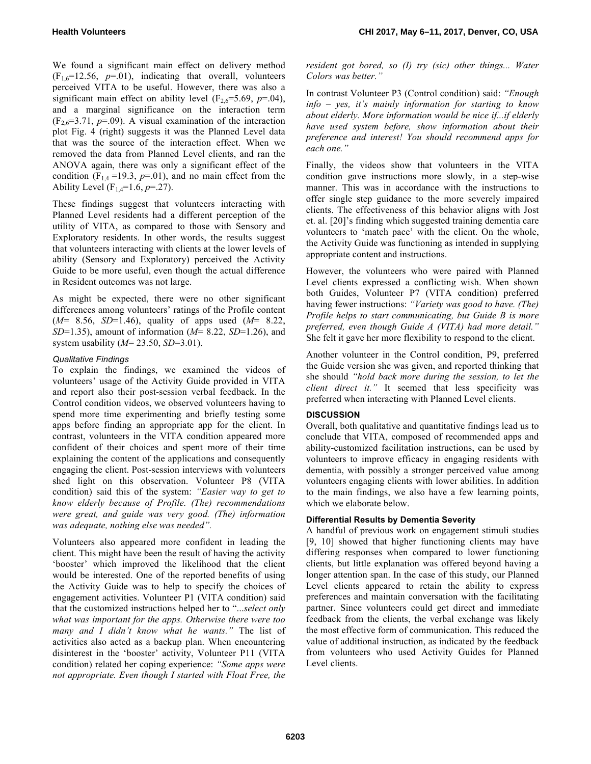We found a significant main effect on delivery method  $(F_{16}=12.56, p=.01)$ , indicating that overall, volunteers perceived VITA to be useful. However, there was also a significant main effect on ability level  $(F_2,6=5.69, p=.04)$ , and a marginal significance on the interaction term  $(F_{2,6}=3.71, p=.09)$ . A visual examination of the interaction plot Fig. 4 (right) suggests it was the Planned Level data that was the source of the interaction effect. When we removed the data from Planned Level clients, and ran the ANOVA again, there was only a significant effect of the condition  $(F_{1,4} = 19.3, p = .01)$ , and no main effect from the Ability Level ( $F_{1,4}=1.6$ ,  $p=.27$ ).

These findings suggest that volunteers interacting with Planned Level residents had a different perception of the utility of VITA, as compared to those with Sensory and Exploratory residents. In other words, the results suggest that volunteers interacting with clients at the lower levels of ability (Sensory and Exploratory) perceived the Activity Guide to be more useful, even though the actual difference in Resident outcomes was not large.

As might be expected, there were no other significant differences among volunteers' ratings of the Profile content (*M*= 8.56, *SD*=1.46), quality of apps used (*M*= 8.22, *SD*=1.35), amount of information (*M*= 8.22, *SD*=1.26), and system usability (*M*= 23.50, *SD*=3.01).

# *Qualitative Findings*

To explain the findings, we examined the videos of volunteers' usage of the Activity Guide provided in VITA and report also their post-session verbal feedback. In the Control condition videos, we observed volunteers having to spend more time experimenting and briefly testing some apps before finding an appropriate app for the client. In contrast, volunteers in the VITA condition appeared more confident of their choices and spent more of their time explaining the content of the applications and consequently engaging the client. Post-session interviews with volunteers shed light on this observation. Volunteer P8 (VITA condition) said this of the system: *"Easier way to get to know elderly because of Profile. (The) recommendations were great, and guide was very good. (The) information was adequate, nothing else was needed".*

Volunteers also appeared more confident in leading the client. This might have been the result of having the activity 'booster' which improved the likelihood that the client would be interested. One of the reported benefits of using the Activity Guide was to help to specify the choices of engagement activities. Volunteer P1 (VITA condition) said that the customized instructions helped her to "...*select only what was important for the apps. Otherwise there were too many and I didn't know what he wants."* The list of activities also acted as a backup plan. When encountering disinterest in the 'booster' activity, Volunteer P11 (VITA condition) related her coping experience: *"Some apps were not appropriate. Even though I started with Float Free, the* 

*resident got bored, so (I) try (sic) other things... Water Colors was better."*

In contrast Volunteer P3 (Control condition) said: *"Enough info – yes, it's mainly information for starting to know about elderly. More information would be nice if...if elderly have used system before, show information about their preference and interest! You should recommend apps for each one."*

Finally, the videos show that volunteers in the VITA condition gave instructions more slowly, in a step-wise manner. This was in accordance with the instructions to offer single step guidance to the more severely impaired clients. The effectiveness of this behavior aligns with Jost et. al. [20]'s finding which suggested training dementia care volunteers to 'match pace' with the client. On the whole, the Activity Guide was functioning as intended in supplying appropriate content and instructions.

However, the volunteers who were paired with Planned Level clients expressed a conflicting wish. When shown both Guides, Volunteer P7 (VITA condition) preferred having fewer instructions: *"Variety was good to have. (The) Profile helps to start communicating, but Guide B is more preferred, even though Guide A (VITA) had more detail."* She felt it gave her more flexibility to respond to the client.

Another volunteer in the Control condition, P9, preferred the Guide version she was given, and reported thinking that she should *"hold back more during the session, to let the client direct it."* It seemed that less specificity was preferred when interacting with Planned Level clients.

# **DISCUSSION**

Overall, both qualitative and quantitative findings lead us to conclude that VITA, composed of recommended apps and ability-customized facilitation instructions, can be used by volunteers to improve efficacy in engaging residents with dementia, with possibly a stronger perceived value among volunteers engaging clients with lower abilities. In addition to the main findings, we also have a few learning points, which we elaborate below.

# **Differential Results by Dementia Severity**

A handful of previous work on engagement stimuli studies [9, 10] showed that higher functioning clients may have differing responses when compared to lower functioning clients, but little explanation was offered beyond having a longer attention span. In the case of this study, our Planned Level clients appeared to retain the ability to express preferences and maintain conversation with the facilitating partner. Since volunteers could get direct and immediate feedback from the clients, the verbal exchange was likely the most effective form of communication. This reduced the value of additional instruction, as indicated by the feedback from volunteers who used Activity Guides for Planned Level clients.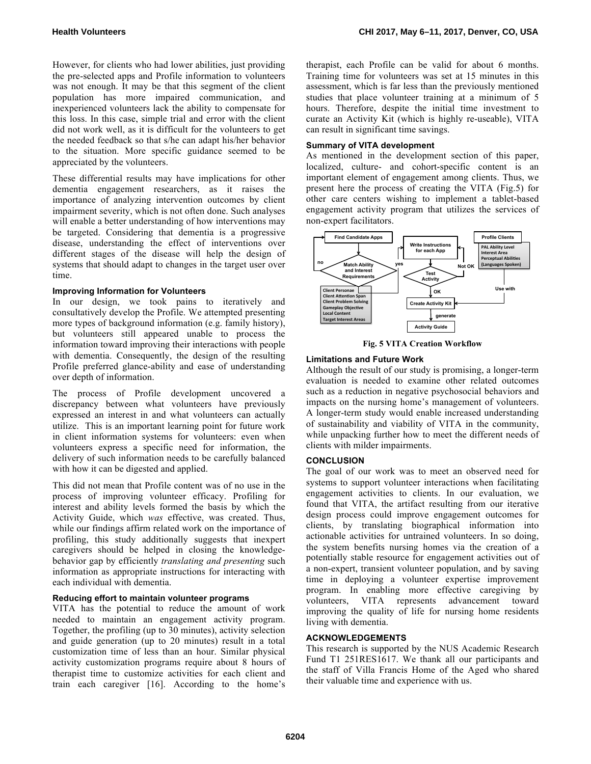However, for clients who had lower abilities, just providing the pre-selected apps and Profile information to volunteers was not enough. It may be that this segment of the client population has more impaired communication, and inexperienced volunteers lack the ability to compensate for this loss. In this case, simple trial and error with the client did not work well, as it is difficult for the volunteers to get the needed feedback so that s/he can adapt his/her behavior to the situation. More specific guidance seemed to be appreciated by the volunteers.

These differential results may have implications for other dementia engagement researchers, as it raises the importance of analyzing intervention outcomes by client impairment severity, which is not often done. Such analyses will enable a better understanding of how interventions may be targeted. Considering that dementia is a progressive disease, understanding the effect of interventions over different stages of the disease will help the design of systems that should adapt to changes in the target user over time.

#### **Improving Information for Volunteers**

In our design, we took pains to iteratively and consultatively develop the Profile. We attempted presenting more types of background information (e.g. family history), but volunteers still appeared unable to process the information toward improving their interactions with people with dementia. Consequently, the design of the resulting Profile preferred glance-ability and ease of understanding over depth of information.

The process of Profile development uncovered a discrepancy between what volunteers have previously expressed an interest in and what volunteers can actually utilize. This is an important learning point for future work in client information systems for volunteers: even when volunteers express a specific need for information, the delivery of such information needs to be carefully balanced with how it can be digested and applied.

This did not mean that Profile content was of no use in the process of improving volunteer efficacy. Profiling for interest and ability levels formed the basis by which the Activity Guide, which *was* effective, was created. Thus, while our findings affirm related work on the importance of profiling, this study additionally suggests that inexpert caregivers should be helped in closing the knowledgebehavior gap by efficiently *translating and presenting* such information as appropriate instructions for interacting with each individual with dementia.

#### **Reducing effort to maintain volunteer programs**

VITA has the potential to reduce the amount of work needed to maintain an engagement activity program. Together, the profiling (up to 30 minutes), activity selection and guide generation (up to 20 minutes) result in a total customization time of less than an hour. Similar physical activity customization programs require about 8 hours of therapist time to customize activities for each client and train each caregiver [16]. According to the home's

therapist, each Profile can be valid for about 6 months. Training time for volunteers was set at 15 minutes in this assessment, which is far less than the previously mentioned studies that place volunteer training at a minimum of 5 hours. Therefore, despite the initial time investment to curate an Activity Kit (which is highly re-useable), VITA can result in significant time savings.

#### **Summary of VITA development**

As mentioned in the development section of this paper, localized, culture- and cohort-specific content is an important element of engagement among clients. Thus, we present here the process of creating the VITA (Fig.5) for other care centers wishing to implement a tablet-based engagement activity program that utilizes the services of non-expert facilitators.



**Fig. 5 VITA Creation Workflow**

#### **Limitations and Future Work**

Although the result of our study is promising, a longer-term evaluation is needed to examine other related outcomes such as a reduction in negative psychosocial behaviors and impacts on the nursing home's management of volunteers. A longer-term study would enable increased understanding of sustainability and viability of VITA in the community, while unpacking further how to meet the different needs of clients with milder impairments.

#### **CONCLUSION**

The goal of our work was to meet an observed need for systems to support volunteer interactions when facilitating engagement activities to clients. In our evaluation, we found that VITA, the artifact resulting from our iterative design process could improve engagement outcomes for clients, by translating biographical information into actionable activities for untrained volunteers. In so doing, the system benefits nursing homes via the creation of a potentially stable resource for engagement activities out of a non-expert, transient volunteer population, and by saving time in deploying a volunteer expertise improvement program. In enabling more effective caregiving by volunteers, VITA represents advancement toward improving the quality of life for nursing home residents living with dementia.

#### **ACKNOWLEDGEMENTS**

This research is supported by the NUS Academic Research Fund T1 251RES1617. We thank all our participants and the staff of Villa Francis Home of the Aged who shared their valuable time and experience with us.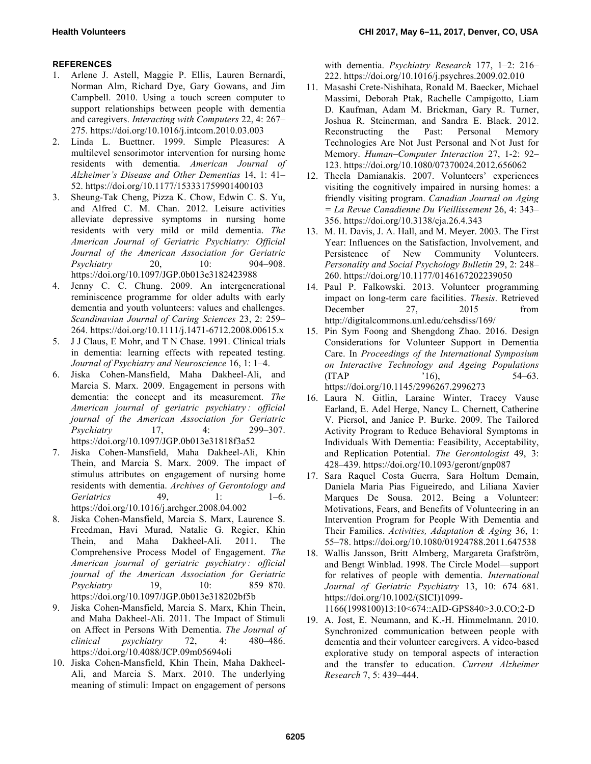# **REFERENCES**

- 1. Arlene J. Astell, Maggie P. Ellis, Lauren Bernardi, Norman Alm, Richard Dye, Gary Gowans, and Jim Campbell. 2010. Using a touch screen computer to support relationships between people with dementia and caregivers. *Interacting with Computers* 22, 4: 267– 275. https://doi.org/10.1016/j.intcom.2010.03.003
- 2. Linda L. Buettner. 1999. Simple Pleasures: A multilevel sensorimotor intervention for nursing home residents with dementia. *American Journal of Alzheimer's Disease and Other Dementias* 14, 1: 41– 52. https://doi.org/10.1177/153331759901400103
- 3. Sheung-Tak Cheng, Pizza K. Chow, Edwin C. S. Yu, and Alfred C. M. Chan. 2012. Leisure activities alleviate depressive symptoms in nursing home residents with very mild or mild dementia. *The American Journal of Geriatric Psychiatry: Official Journal of the American Association for Geriatric Psychiatry* 20, 10: 904–908. https://doi.org/10.1097/JGP.0b013e3182423988
- 4. Jenny C. C. Chung. 2009. An intergenerational reminiscence programme for older adults with early dementia and youth volunteers: values and challenges. *Scandinavian Journal of Caring Sciences* 23, 2: 259– 264. https://doi.org/10.1111/j.1471-6712.2008.00615.x
- 5. J J Claus, E Mohr, and T N Chase. 1991. Clinical trials in dementia: learning effects with repeated testing. *Journal of Psychiatry and Neuroscience* 16, 1: 1–4.
- 6. Jiska Cohen-Mansfield, Maha Dakheel-Ali, and Marcia S. Marx. 2009. Engagement in persons with dementia: the concept and its measurement. *The American journal of geriatric psychiatry : official journal of the American Association for Geriatric Psychiatry* 17, 4: 299–307. https://doi.org/10.1097/JGP.0b013e31818f3a52
- 7. Jiska Cohen-Mansfield, Maha Dakheel-Ali, Khin Thein, and Marcia S. Marx. 2009. The impact of stimulus attributes on engagement of nursing home residents with dementia. *Archives of Gerontology and Geriatrics* 49, 1: 1–6. https://doi.org/10.1016/j.archger.2008.04.002
- 8. Jiska Cohen-Mansfield, Marcia S. Marx, Laurence S. Freedman, Havi Murad, Natalie G. Regier, Khin Thein, and Maha Dakheel-Ali. 2011. The Comprehensive Process Model of Engagement. *The American journal of geriatric psychiatry : official journal of the American Association for Geriatric Psychiatry* 19, 10: 859–870. https://doi.org/10.1097/JGP.0b013e318202bf5b
- 9. Jiska Cohen-Mansfield, Marcia S. Marx, Khin Thein, and Maha Dakheel-Ali. 2011. The Impact of Stimuli on Affect in Persons With Dementia. *The Journal of clinical psychiatry* 72, 4: 480–486. https://doi.org/10.4088/JCP.09m05694oli
- 10. Jiska Cohen-Mansfield, Khin Thein, Maha Dakheel-Ali, and Marcia S. Marx. 2010. The underlying meaning of stimuli: Impact on engagement of persons

with dementia. *Psychiatry Research* 177, 1–2: 216– 222. https://doi.org/10.1016/j.psychres.2009.02.010

- 11. Masashi Crete-Nishihata, Ronald M. Baecker, Michael Massimi, Deborah Ptak, Rachelle Campigotto, Liam D. Kaufman, Adam M. Brickman, Gary R. Turner, Joshua R. Steinerman, and Sandra E. Black. 2012. Reconstructing the Past: Personal Memory Technologies Are Not Just Personal and Not Just for Memory. *Human–Computer Interaction* 27, 1-2: 92– 123. https://doi.org/10.1080/07370024.2012.656062
- 12. Thecla Damianakis. 2007. Volunteers' experiences visiting the cognitively impaired in nursing homes: a friendly visiting program. *Canadian Journal on Aging = La Revue Canadienne Du Vieillissement* 26, 4: 343– 356. https://doi.org/10.3138/cja.26.4.343
- 13. M. H. Davis, J. A. Hall, and M. Meyer. 2003. The First Year: Influences on the Satisfaction, Involvement, and Persistence of New Community Volunteers. *Personality and Social Psychology Bulletin* 29, 2: 248– 260. https://doi.org/10.1177/0146167202239050
- 14. Paul P. Falkowski. 2013. Volunteer programming impact on long-term care facilities. *Thesis*. Retrieved December 27, 2015 from http://digitalcommons.unl.edu/cehsdiss/169/
- 15. Pin Sym Foong and Shengdong Zhao. 2016. Design Considerations for Volunteer Support in Dementia Care. In *Proceedings of the International Symposium on Interactive Technology and Ageing Populations*  $(ITAP$   $'16)$ ,  $54-63$ . https://doi.org/10.1145/2996267.2996273
- 16. Laura N. Gitlin, Laraine Winter, Tracey Vause Earland, E. Adel Herge, Nancy L. Chernett, Catherine V. Piersol, and Janice P. Burke. 2009. The Tailored Activity Program to Reduce Behavioral Symptoms in Individuals With Dementia: Feasibility, Acceptability, and Replication Potential. *The Gerontologist* 49, 3: 428–439. https://doi.org/10.1093/geront/gnp087
- 17. Sara Raquel Costa Guerra, Sara Holtum Demain, Daniela Maria Pias Figueiredo, and Liliana Xavier Marques De Sousa. 2012. Being a Volunteer: Motivations, Fears, and Benefits of Volunteering in an Intervention Program for People With Dementia and Their Families. *Activities, Adaptation & Aging* 36, 1: 55–78. https://doi.org/10.1080/01924788.2011.647538
- 18. Wallis Jansson, Britt Almberg, Margareta Grafström, and Bengt Winblad. 1998. The Circle Model—support for relatives of people with dementia. *International Journal of Geriatric Psychiatry* 13, 10: 674–681. https://doi.org/10.1002/(SICI)1099-

1166(1998100)13:10<674::AID-GPS840>3.0.CO;2-D

19. A. Jost, E. Neumann, and K.-H. Himmelmann. 2010. Synchronized communication between people with dementia and their volunteer caregivers. A video-based explorative study on temporal aspects of interaction and the transfer to education. *Current Alzheimer Research* 7, 5: 439–444.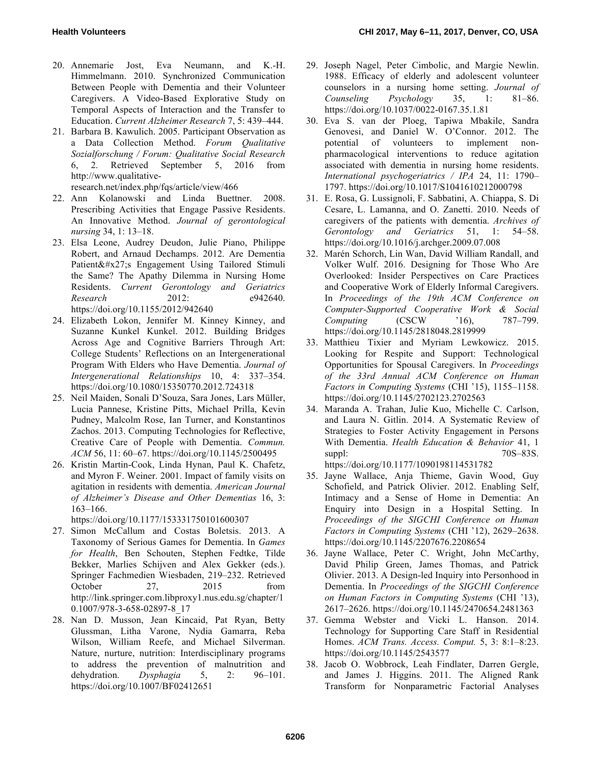- 20. Annemarie Jost, Eva Neumann, and K.-H. Himmelmann. 2010. Synchronized Communication Between People with Dementia and their Volunteer Caregivers. A Video-Based Explorative Study on Temporal Aspects of Interaction and the Transfer to Education. *Current Alzheimer Research* 7, 5: 439–444.
- 21. Barbara B. Kawulich. 2005. Participant Observation as a Data Collection Method. *Forum Qualitative Sozialforschung / Forum: Qualitative Social Research* 6, 2. Retrieved September 5, 2016 from http://www.qualitative-

research.net/index.php/fqs/article/view/466

- 22. Ann Kolanowski and Linda Buettner. 2008. Prescribing Activities that Engage Passive Residents. An Innovative Method. *Journal of gerontological nursing* 34, 1: 13–18.
- 23. Elsa Leone, Audrey Deudon, Julie Piano, Philippe Robert, and Arnaud Dechamps. 2012. Are Dementia Patient's Engagement Using Tailored Stimuli the Same? The Apathy Dilemma in Nursing Home Residents. *Current Gerontology and Geriatrics Research* 2012: e942640. https://doi.org/10.1155/2012/942640
- 24. Elizabeth Lokon, Jennifer M. Kinney Kinney, and Suzanne Kunkel Kunkel. 2012. Building Bridges Across Age and Cognitive Barriers Through Art: College Students' Reflections on an Intergenerational Program With Elders who Have Dementia. *Journal of Intergenerational Relationships* 10, 4: 337–354. https://doi.org/10.1080/15350770.2012.724318
- 25. Neil Maiden, Sonali D'Souza, Sara Jones, Lars Müller, Lucia Pannese, Kristine Pitts, Michael Prilla, Kevin Pudney, Malcolm Rose, Ian Turner, and Konstantinos Zachos. 2013. Computing Technologies for Reflective, Creative Care of People with Dementia. *Commun. ACM* 56, 11: 60–67. https://doi.org/10.1145/2500495
- 26. Kristin Martin-Cook, Linda Hynan, Paul K. Chafetz, and Myron F. Weiner. 2001. Impact of family visits on agitation in residents with dementia. *American Journal of Alzheimer's Disease and Other Dementias* 16, 3: 163–166.

https://doi.org/10.1177/153331750101600307

- 27. Simon McCallum and Costas Boletsis. 2013. A Taxonomy of Serious Games for Dementia. In *Games for Health*, Ben Schouten, Stephen Fedtke, Tilde Bekker, Marlies Schijven and Alex Gekker (eds.). Springer Fachmedien Wiesbaden, 219–232. Retrieved October 27, 2015 from http://link.springer.com.libproxy1.nus.edu.sg/chapter/1 0.1007/978-3-658-02897-8\_17
- 28. Nan D. Musson, Jean Kincaid, Pat Ryan, Betty Glussman, Litha Varone, Nydia Gamarra, Reba Wilson, William Reefe, and Michael Silverman. Nature, nurture, nutrition: Interdisciplinary programs to address the prevention of malnutrition and dehydration. *Dysphagia* 5, 2: 96–101. https://doi.org/10.1007/BF02412651
- 29. Joseph Nagel, Peter Cimbolic, and Margie Newlin. 1988. Efficacy of elderly and adolescent volunteer counselors in a nursing home setting. *Journal of Counseling Psychology* 35, 1: 81–86. https://doi.org/10.1037/0022-0167.35.1.81
- 30. Eva S. van der Ploeg, Tapiwa Mbakile, Sandra Genovesi, and Daniel W. O'Connor. 2012. The potential of volunteers to implement nonpharmacological interventions to reduce agitation associated with dementia in nursing home residents. *International psychogeriatrics / IPA* 24, 11: 1790– 1797. https://doi.org/10.1017/S1041610212000798
- 31. E. Rosa, G. Lussignoli, F. Sabbatini, A. Chiappa, S. Di Cesare, L. Lamanna, and O. Zanetti. 2010. Needs of caregivers of the patients with dementia. *Archives of Gerontology and Geriatrics* 51, 1: 54–58. https://doi.org/10.1016/j.archger.2009.07.008
- 32. Marén Schorch, Lin Wan, David William Randall, and Volker Wulf. 2016. Designing for Those Who Are Overlooked: Insider Perspectives on Care Practices and Cooperative Work of Elderly Informal Caregivers. In *Proceedings of the 19th ACM Conference on Computer-Supported Cooperative Work & Social Computing* (CSCW '16), 787–799. https://doi.org/10.1145/2818048.2819999
- 33. Matthieu Tixier and Myriam Lewkowicz. 2015. Looking for Respite and Support: Technological Opportunities for Spousal Caregivers. In *Proceedings of the 33rd Annual ACM Conference on Human Factors in Computing Systems* (CHI '15), 1155–1158. https://doi.org/10.1145/2702123.2702563
- 34. Maranda A. Trahan, Julie Kuo, Michelle C. Carlson, and Laura N. Gitlin. 2014. A Systematic Review of Strategies to Foster Activity Engagement in Persons With Dementia. *Health Education & Behavior* 41, 1 suppl:  $70S-83S$ . https://doi.org/10.1177/1090198114531782
- 35. Jayne Wallace, Anja Thieme, Gavin Wood, Guy Schofield, and Patrick Olivier. 2012. Enabling Self, Intimacy and a Sense of Home in Dementia: An Enquiry into Design in a Hospital Setting. In *Proceedings of the SIGCHI Conference on Human Factors in Computing Systems* (CHI '12), 2629–2638. https://doi.org/10.1145/2207676.2208654
- 36. Jayne Wallace, Peter C. Wright, John McCarthy, David Philip Green, James Thomas, and Patrick Olivier. 2013. A Design-led Inquiry into Personhood in Dementia. In *Proceedings of the SIGCHI Conference on Human Factors in Computing Systems* (CHI '13), 2617–2626. https://doi.org/10.1145/2470654.2481363
- 37. Gemma Webster and Vicki L. Hanson. 2014. Technology for Supporting Care Staff in Residential Homes. *ACM Trans. Access. Comput.* 5, 3: 8:1–8:23. https://doi.org/10.1145/2543577
- 38. Jacob O. Wobbrock, Leah Findlater, Darren Gergle, and James J. Higgins. 2011. The Aligned Rank Transform for Nonparametric Factorial Analyses